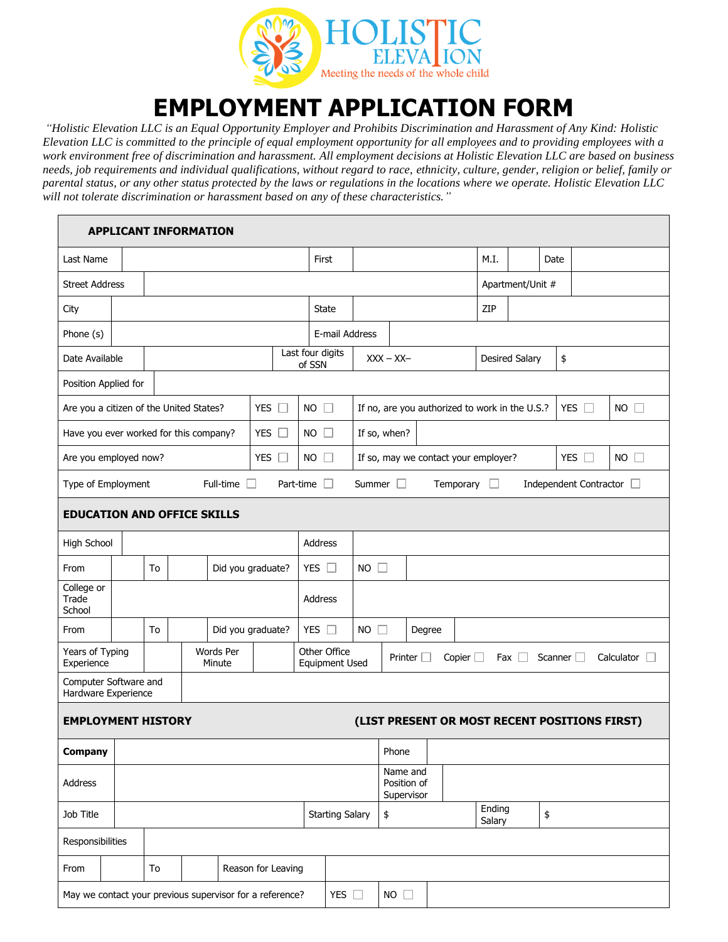

## **EMPLOYMENT APPLICATION FORM**

*"Holistic Elevation LLC is an Equal Opportunity Employer and Prohibits Discrimination and Harassment of Any Kind: Holistic Elevation LLC is committed to the principle of equal employment opportunity for all employees and to providing employees with a work environment free of discrimination and harassment. All employment decisions at Holistic Elevation LLC are based on business needs, job requirements and individual qualifications, without regard to race, ethnicity, culture, gender, religion or belief, family or parental status, or any other status protected by the laws or regulations in the locations where we operate. Holistic Elevation LLC will not tolerate discrimination or harassment based on any of these characteristics."*

|                                                                                                        |                                                                                                                      |                         | <b>APPLICANT INFORMATION</b> |                   |             |                                  |                                                                        |                                       |  |  |      |                             |      |                      |             |  |
|--------------------------------------------------------------------------------------------------------|----------------------------------------------------------------------------------------------------------------------|-------------------------|------------------------------|-------------------|-------------|----------------------------------|------------------------------------------------------------------------|---------------------------------------|--|--|------|-----------------------------|------|----------------------|-------------|--|
| Last Name                                                                                              |                                                                                                                      |                         |                              |                   |             | First                            |                                                                        |                                       |  |  | M.I. |                             | Date |                      |             |  |
|                                                                                                        | <b>Street Address</b>                                                                                                |                         |                              |                   |             |                                  |                                                                        |                                       |  |  |      | Apartment/Unit #            |      |                      |             |  |
| City                                                                                                   |                                                                                                                      |                         |                              |                   | State       |                                  |                                                                        |                                       |  |  | ZIP  |                             |      |                      |             |  |
| Phone (s)                                                                                              |                                                                                                                      |                         | E-mail Address               |                   |             |                                  |                                                                        |                                       |  |  |      |                             |      |                      |             |  |
| Date Available                                                                                         |                                                                                                                      |                         |                              |                   | of SSN      | Last four digits<br>$XXX - XX -$ |                                                                        |                                       |  |  |      | <b>Desired Salary</b><br>\$ |      |                      |             |  |
|                                                                                                        | Position Applied for                                                                                                 |                         |                              |                   |             |                                  |                                                                        |                                       |  |  |      |                             |      |                      |             |  |
| <b>YES</b><br>Are you a citizen of the United States?<br>Eт                                            |                                                                                                                      |                         |                              |                   | $NO$ $\Box$ |                                  | <b>YES</b><br>If no, are you authorized to work in the U.S.?<br>$\Box$ |                                       |  |  |      |                             |      | $NO$ $\Box$          |             |  |
| <b>YES</b><br>Have you ever worked for this company?<br>$\Box$                                         |                                                                                                                      |                         |                              |                   |             | $NO$ $\Box$                      |                                                                        | If so, when?                          |  |  |      |                             |      |                      |             |  |
|                                                                                                        | <b>YES</b><br>Are you employed now?<br>$NO$ $\Box$                                                                   |                         |                              |                   |             |                                  | If so, may we contact your employer?                                   |                                       |  |  |      |                             |      | <b>YES</b><br>$\Box$ | $NO$ $\Box$ |  |
| Type of Employment<br>Part-time<br>Summer  <br>Temporary<br>Independent Contractor [<br>Full-time<br>ш |                                                                                                                      |                         |                              |                   |             |                                  |                                                                        |                                       |  |  |      |                             |      |                      |             |  |
| <b>EDUCATION AND OFFICE SKILLS</b>                                                                     |                                                                                                                      |                         |                              |                   |             |                                  |                                                                        |                                       |  |  |      |                             |      |                      |             |  |
| <b>High School</b>                                                                                     |                                                                                                                      |                         |                              |                   | Address     |                                  |                                                                        |                                       |  |  |      |                             |      |                      |             |  |
| From                                                                                                   |                                                                                                                      | Did you graduate?<br>To |                              |                   |             | YES $\square$                    | $NO$ $\Box$                                                            |                                       |  |  |      |                             |      |                      |             |  |
| College or<br>Trade<br>School                                                                          |                                                                                                                      |                         |                              |                   |             | Address                          |                                                                        |                                       |  |  |      |                             |      |                      |             |  |
| From                                                                                                   |                                                                                                                      | To                      |                              | Did you graduate? |             | YES $\Box$                       | <b>NO</b>                                                              | Degree                                |  |  |      |                             |      |                      |             |  |
| Years of Typing<br>Experience                                                                          | <b>Words Per</b><br>Other Office<br>Printer $\Box$<br>Copier $\Box$<br>Fax $\Box$<br><b>Equipment Used</b><br>Minute |                         |                              |                   |             | Scanner                          |                                                                        | Calculator                            |  |  |      |                             |      |                      |             |  |
| Computer Software and<br>Hardware Experience                                                           |                                                                                                                      |                         |                              |                   |             |                                  |                                                                        |                                       |  |  |      |                             |      |                      |             |  |
| <b>EMPLOYMENT HISTORY</b><br>(LIST PRESENT OR MOST RECENT POSITIONS FIRST)                             |                                                                                                                      |                         |                              |                   |             |                                  |                                                                        |                                       |  |  |      |                             |      |                      |             |  |
| Company                                                                                                |                                                                                                                      |                         |                              |                   |             |                                  |                                                                        | Phone                                 |  |  |      |                             |      |                      |             |  |
| Address                                                                                                |                                                                                                                      |                         |                              |                   |             |                                  |                                                                        | Name and<br>Position of<br>Supervisor |  |  |      |                             |      |                      |             |  |
| Job Title                                                                                              |                                                                                                                      |                         |                              |                   |             | \$<br><b>Starting Salary</b>     |                                                                        |                                       |  |  |      | Ending<br>Salary            |      | $\pmb{\$}$           |             |  |
|                                                                                                        | Responsibilities                                                                                                     |                         |                              |                   |             |                                  |                                                                        |                                       |  |  |      |                             |      |                      |             |  |
| From                                                                                                   | To<br>Reason for Leaving                                                                                             |                         |                              |                   |             |                                  |                                                                        |                                       |  |  |      |                             |      |                      |             |  |
| NO<br>May we contact your previous supervisor for a reference?<br>YES $\square$                        |                                                                                                                      |                         |                              |                   |             |                                  |                                                                        |                                       |  |  |      |                             |      |                      |             |  |